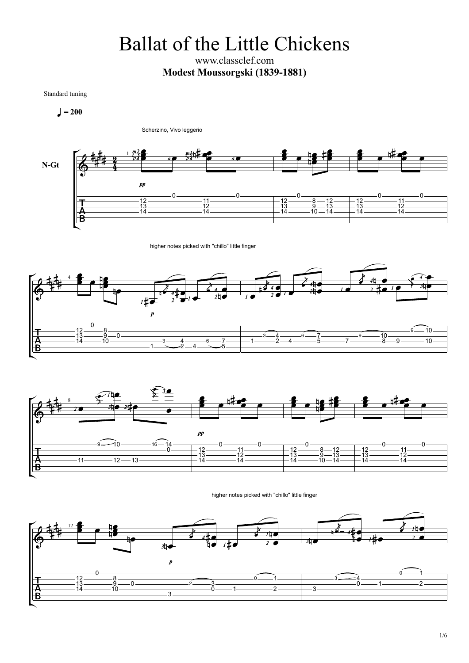## Ballat of the Little Chickens

www.classclef.com **Modest Moussorgski (1839-1881)**

Standard tuning

$$
\blacksquare = 200
$$

Scherzino, Vivo leggerio



higher notes picked with "chillo" little finger





higher notes picked with "chillo" little finger

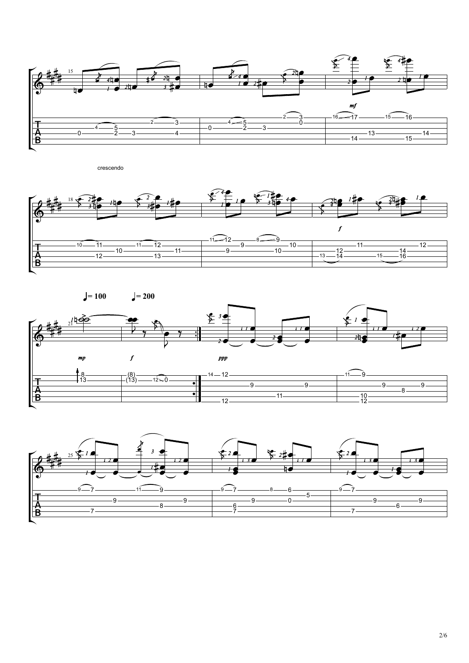

crescendo





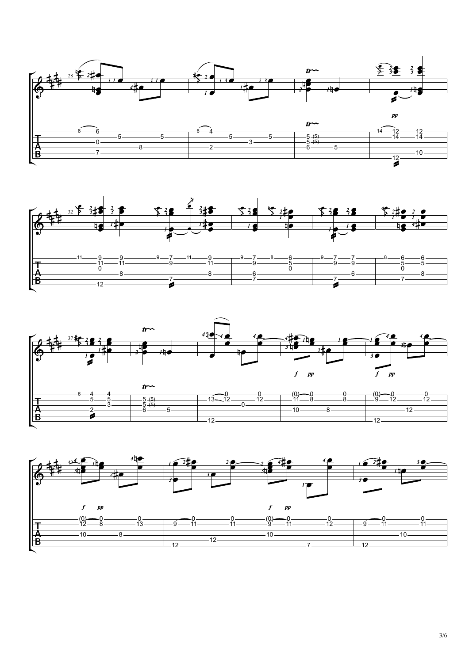





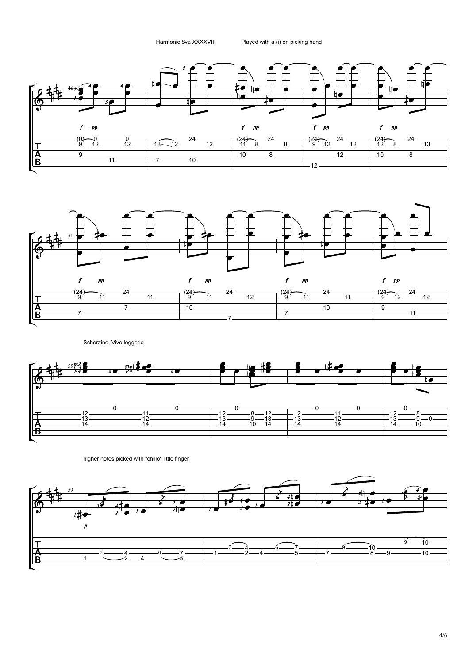Harmonic 8va XXXXVIII Played with a (i) on picking hand





Scherzino, Vivo leggerio



higher notes picked with "chillo" little finger

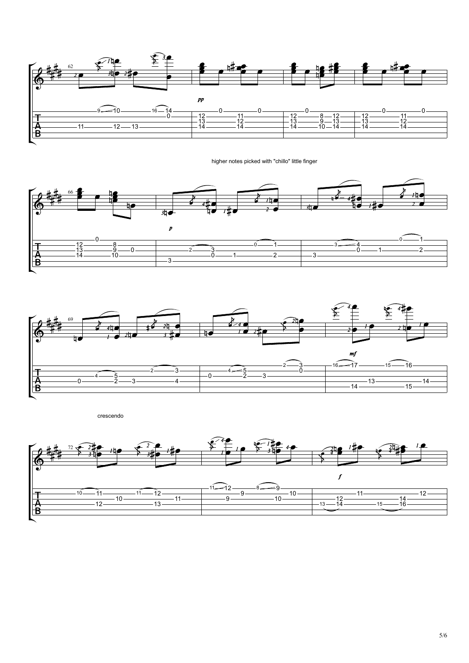

higher notes picked with "chillo" little finger





crescendo